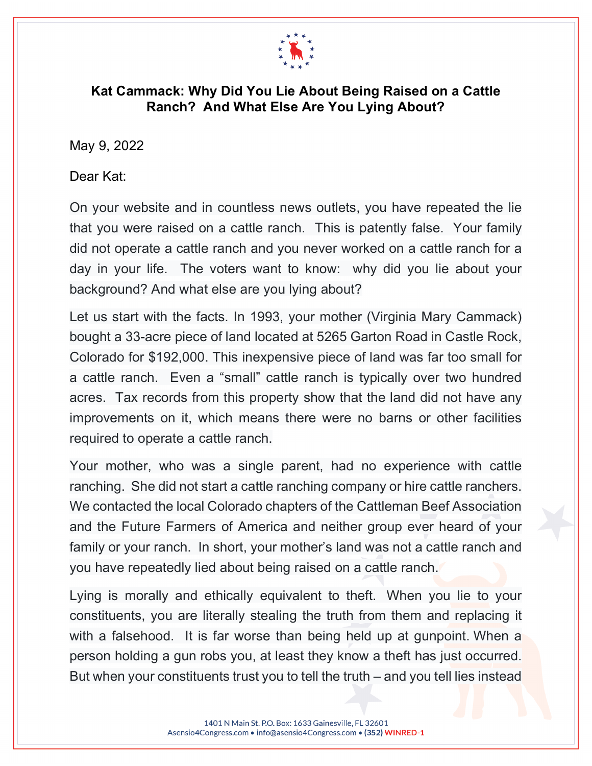

## **Kat Cammack: Why Did You Lie About Being Raised on a Cattle Ranch? And What Else Are You Lying About?**

May 9, 2022

Dear Kat:

On your website and in countless news outlets, you have repeated the lie that you were raised on a cattle ranch. This is patently false. Your family did not operate a cattle ranch and you never worked on a cattle ranch for a day in your life. The voters want to know: why did you lie about your background? And what else are you lying about?

Let us start with the facts. In 1993, your mother (Virginia Mary Cammack) bought a 33-acre piece of land located at 5265 Garton Road in Castle Rock, Colorado for \$192,000. This inexpensive piece of land was far too small for a cattle ranch. Even a "small" cattle ranch is typically over two hundred acres. Tax records from this property show that the land did not have any improvements on it, which means there were no barns or other facilities required to operate a cattle ranch.

Your mother, who was a single parent, had no experience with cattle ranching. She did not start a cattle ranching company or hire cattle ranchers. We contacted the local Colorado chapters of the Cattleman Beef Association and the Future Farmers of America and neither group ever heard of your family or your ranch. In short, your mother's land was not a cattle ranch and you have repeatedly lied about being raised on a cattle ranch.

Lying is morally and ethically equivalent to theft. When you lie to your constituents, you are literally stealing the truth from them and replacing it with a falsehood. It is far worse than being held up at gunpoint. When a person holding a gun robs you, at least they know a theft has just occurred. But when your constituents trust you to tell the truth – and you tell lies instead